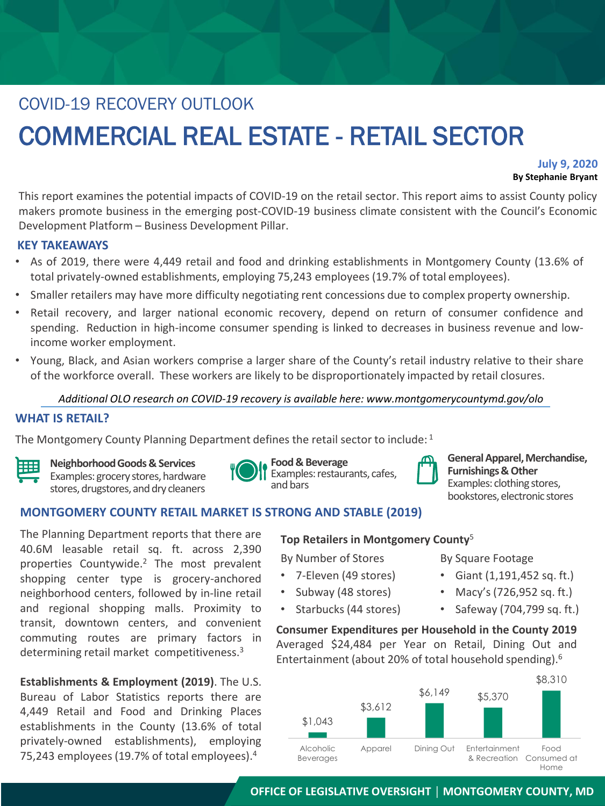# COVID-19 RECOVERY OUTLOOK COMMERCIAL REAL ESTATE - RETAIL SECTOR

## **July 9, 2020 By Stephanie Bryant**

This report examines the potential impacts of COVID-19 on the retail sector. This report aims to assist County policy makers promote business in the emerging post-COVID-19 business climate consistent with the Council's Economic Development Platform – Business Development Pillar.

## **KEY TAKEAWAYS**

- As of 2019, there were 4,449 retail and food and drinking establishments in Montgomery County (13.6% of total privately-owned establishments, employing 75,243 employees (19.7% of total employees).
- Smaller retailers may have more difficulty negotiating rent concessions due to complex property ownership.
- Retail recovery, and larger national economic recovery, depend on return of consumer confidence and spending. Reduction in high-income consumer spending is linked to decreases in business revenue and lowincome worker employment.
- Young, Black, and Asian workers comprise a larger share of the County's retail industry relative to their share of the workforce overall. These workers are likely to be disproportionately impacted by retail closures.

## *Additional OLO research on COVID-19 recovery is available here: www.montgomerycountymd.gov/olo*

## **WHAT IS RETAIL?**

The Montgomery County Planning Department defines the retail sector to include:  $^1$ 



**Neighborhood Goods & Services**



Examples: grocery stores, hardware stores, drugstores, and dry cleaners

| Ш |  |
|---|--|
|   |  |

**Food & Beverage** Examples: restaurants, cafes, and bars

**General Apparel, Merchandise, Furnishings & Other** Examples: clothing stores, bookstores, electronic stores

# **MONTGOMERY COUNTY RETAIL MARKET IS STRONG AND STABLE (2019)**

The Planning Department reports that there are 40.6M leasable retail sq. ft. across 2,390 properties Countywide. <sup>2</sup> The most prevalent shopping center type is grocery-anchored neighborhood centers, followed by in-line retail and regional shopping malls. Proximity to transit, downtown centers, and convenient commuting routes are primary factors in determining retail market competitiveness.<sup>3</sup>

**Establishments & Employment (2019)**. The U.S. Bureau of Labor Statistics reports there are 4,449 Retail and Food and Drinking Places establishments in the County (13.6% of total privately-owned establishments), employing 75,243 employees (19.7% of total employees).<sup>4</sup>

## **Top Retailers in Montgomery County**<sup>5</sup>

By Number of Stores

- 7-Eleven (49 stores)
- Subway (48 stores)
- Starbucks (44 stores)

By Square Footage

- Giant (1,191,452 sq. ft.)
- Macy's (726,952 sq. ft.)
- Safeway (704,799 sq. ft.)

**Consumer Expenditures per Household in the County 2019** Averaged \$24,484 per Year on Retail, Dining Out and Entertainment (about 20% of total household spending). 6



# **OFFICE OF LEGISLATIVE OVERSIGHT │ MONTGOMERY COUNTY, MD**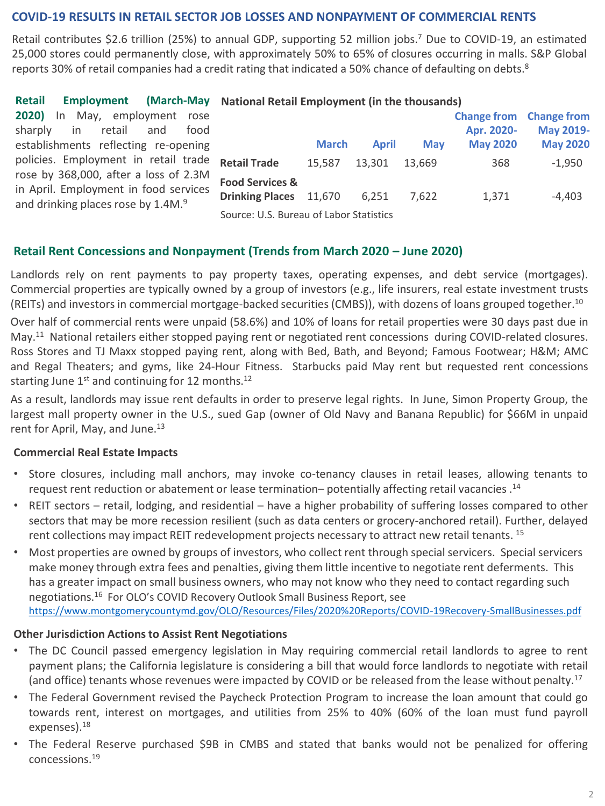## **COVID-19 RESULTS IN RETAIL SECTOR JOB LOSSES AND NONPAYMENT OF COMMERCIAL RENTS**

Retail contributes \$2.6 trillion (25%) to annual GDP, supporting 52 million jobs. <sup>7</sup> Due to COVID-19, an estimated 25,000 stores could permanently close, with approximately 50% to 65% of closures occurring in malls. S&P Global reports 30% of retail companies had a credit rating that indicated a 50% chance of defaulting on debts.<sup>8</sup>

| <b>Retail</b>                                                                                                                    | Employment (March-May National Retail Employment (in the thousands) |              |              |            |                                |                 |
|----------------------------------------------------------------------------------------------------------------------------------|---------------------------------------------------------------------|--------------|--------------|------------|--------------------------------|-----------------|
| 2020)<br>May, employment rose<br>- In                                                                                            |                                                                     |              |              |            | <b>Change from Change from</b> |                 |
| in<br>retail<br>sharply<br>and<br>food                                                                                           |                                                                     |              |              |            | Apr. 2020-                     | May 2019-       |
| establishments reflecting re-opening                                                                                             |                                                                     | <b>March</b> | <b>April</b> | <b>May</b> | <b>May 2020</b>                | <b>May 2020</b> |
| policies. Employment in retail trade                                                                                             | <b>Retail Trade</b>                                                 | 15.587       | 13.301       | 13.669     | 368                            | $-1,950$        |
| rose by 368,000, after a loss of 2.3M<br>in April. Employment in food services<br>and drinking places rose by 1.4M. <sup>9</sup> | <b>Food Services &amp;</b><br><b>Drinking Places</b>                | 11.670       | 6.251        | 7.622      | 1,371                          | $-4.403$        |
|                                                                                                                                  | Source: U.S. Bureau of Labor Statistics                             |              |              |            |                                |                 |

## **Retail Rent Concessions and Nonpayment (Trends from March 2020 – June 2020)**

Landlords rely on rent payments to pay property taxes, operating expenses, and debt service (mortgages). Commercial properties are typically owned by a group of investors (e.g., life insurers, real estate investment trusts (REITs) and investors in commercial mortgage-backed securities (CMBS)), with dozens of loans grouped together. 10

Over half of commercial rents were unpaid (58.6%) and 10% of loans for retail properties were 30 days past due in May.<sup>11</sup> National retailers either stopped paying rent or negotiated rent concessions during COVID-related closures. Ross Stores and TJ Maxx stopped paying rent, along with Bed, Bath, and Beyond; Famous Footwear; H&M; AMC and Regal Theaters; and gyms, like 24-Hour Fitness. Starbucks paid May rent but requested rent concessions starting June 1<sup>st</sup> and continuing for 12 months.<sup>12</sup>

As a result, landlords may issue rent defaults in order to preserve legal rights. In June, Simon Property Group, the largest mall property owner in the U.S., sued Gap (owner of Old Navy and Banana Republic) for \$66M in unpaid rent for April, May, and June.<sup>13</sup>

## **Commercial Real Estate Impacts**

- Store closures, including mall anchors, may invoke co-tenancy clauses in retail leases, allowing tenants to request rent reduction or abatement or lease termination– potentially affecting retail vacancies . 14
- REIT sectors retail, lodging, and residential have a higher probability of suffering losses compared to other sectors that may be more recession resilient (such as data centers or grocery-anchored retail). Further, delayed rent collections may impact REIT redevelopment projects necessary to attract new retail tenants. <sup>15</sup>
- Most properties are owned by groups of investors, who collect rent through special servicers. Special servicers make money through extra fees and penalties, giving them little incentive to negotiate rent deferments. This has a greater impact on small business owners, who may not know who they need to contact regarding such negotiations.<sup>16</sup> For OLO's COVID Recovery Outlook Small Business Report, see [https://www.montgomerycountymd.gov/OLO/Resources/Files/2020%20Reports/COVID-19Recovery-SmallBusinesses.pdf](about:blank)

## **Other Jurisdiction Actions to Assist Rent Negotiations**

- The DC Council passed emergency legislation in May requiring commercial retail landlords to agree to rent payment plans; the California legislature is considering a bill that would force landlords to negotiate with retail (and office) tenants whose revenues were impacted by COVID or be released from the lease without penalty. 17
- The Federal Government revised the Paycheck Protection Program to increase the loan amount that could go towards rent, interest on mortgages, and utilities from 25% to 40% (60% of the loan must fund payroll expenses). 18
- The Federal Reserve purchased \$9B in CMBS and stated that banks would not be penalized for offering concessions. 19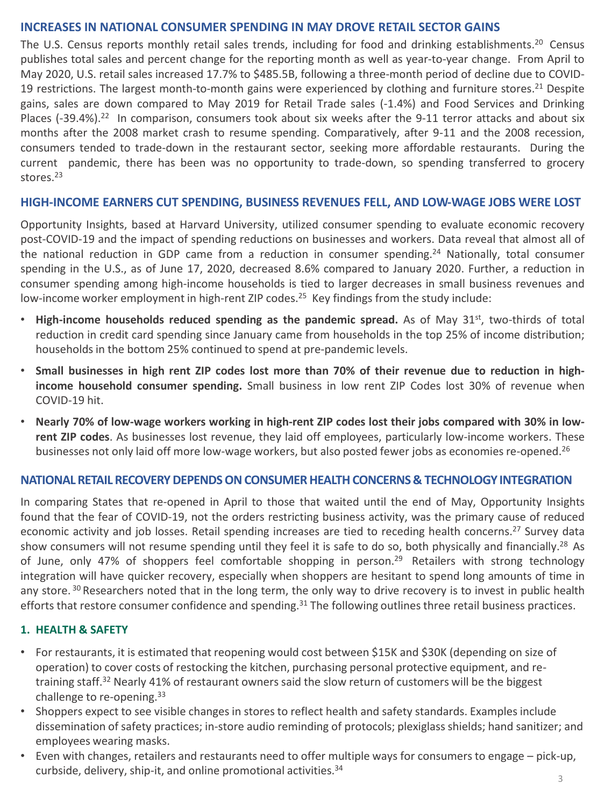## **INCREASES IN NATIONAL CONSUMER SPENDING IN MAY DROVE RETAIL SECTOR GAINS**

The U.S. Census reports monthly retail sales trends, including for food and drinking establishments.<sup>20</sup> Census publishes total sales and percent change for the reporting month as well as year-to-year change. From April to May 2020, U.S. retail sales increased 17.7% to \$485.5B, following a three-month period of decline due to COVID-19 restrictions. The largest month-to-month gains were experienced by clothing and furniture stores.<sup>21</sup> Despite gains, sales are down compared to May 2019 for Retail Trade sales (-1.4%) and Food Services and Drinking Places (-39.4%).<sup>22</sup> In comparison, consumers took about six weeks after the 9-11 terror attacks and about six months after the 2008 market crash to resume spending. Comparatively, after 9-11 and the 2008 recession, consumers tended to trade-down in the restaurant sector, seeking more affordable restaurants. During the current pandemic, there has been was no opportunity to trade-down, so spending transferred to grocery stores. 23

## **HIGH-INCOME EARNERS CUT SPENDING, BUSINESS REVENUES FELL, AND LOW-WAGE JOBS WERE LOST**

Opportunity Insights, based at Harvard University, utilized consumer spending to evaluate economic recovery post-COVID-19 and the impact of spending reductions on businesses and workers. Data reveal that almost all of the national reduction in GDP came from a reduction in consumer spending. <sup>24</sup> Nationally, total consumer spending in the U.S., as of June 17, 2020, decreased 8.6% compared to January 2020. Further, a reduction in consumer spending among high-income households is tied to larger decreases in small business revenues and low-income worker employment in high-rent ZIP codes.<sup>25</sup> Key findings from the study include:

- **High-income households reduced spending as the pandemic spread.** As of May 31st , two-thirds of total reduction in credit card spending since January came from households in the top 25% of income distribution; households in the bottom 25% continued to spend at pre-pandemic levels.
- Small businesses in high rent ZIP codes lost more than 70% of their revenue due to reduction in high**income household consumer spending.** Small business in low rent ZIP Codes lost 30% of revenue when COVID-19 hit.
- Nearly 70% of low-wage workers working in high-rent ZIP codes lost their jobs compared with 30% in low**rent ZIP codes**. As businesses lost revenue, they laid off employees, particularly low-income workers. These businesses not only laid off more low-wage workers, but also posted fewer jobs as economies re-opened.<sup>26</sup>

# **NATIONAL RETAIL RECOVERY DEPENDS ON CONSUMER HEALTH CONCERNS & TECHNOLOGY INTEGRATION**

In comparing States that re-opened in April to those that waited until the end of May, Opportunity Insights found that the fear of COVID-19, not the orders restricting business activity, was the primary cause of reduced economic activity and job losses. Retail spending increases are tied to receding health concerns.<sup>27</sup> Survey data show consumers will not resume spending until they feel it is safe to do so, both physically and financially.<sup>28</sup> As of June, only 47% of shoppers feel comfortable shopping in person.<sup>29</sup> Retailers with strong technology integration will have quicker recovery, especially when shoppers are hesitant to spend long amounts of time in any store.<sup>30</sup> Researchers noted that in the long term, the only way to drive recovery is to invest in public health efforts that restore consumer confidence and spending.<sup>31</sup> The following outlines three retail business practices.

## **1. HEALTH & SAFETY**

- For restaurants, it is estimated that reopening would cost between \$15K and \$30K (depending on size of operation) to cover costs of restocking the kitchen, purchasing personal protective equipment, and retraining staff.<sup>32</sup> Nearly 41% of restaurant owners said the slow return of customers will be the biggest challenge to re-opening.<sup>33</sup>
- Shoppers expect to see visible changes in stores to reflect health and safety standards. Examples include dissemination of safety practices; in-store audio reminding of protocols; plexiglass shields; hand sanitizer; and employees wearing masks.
- Even with changes, retailers and restaurants need to offer multiple ways for consumers to engage pick-up, curbside, delivery, ship-it, and online promotional activities.<sup>34</sup>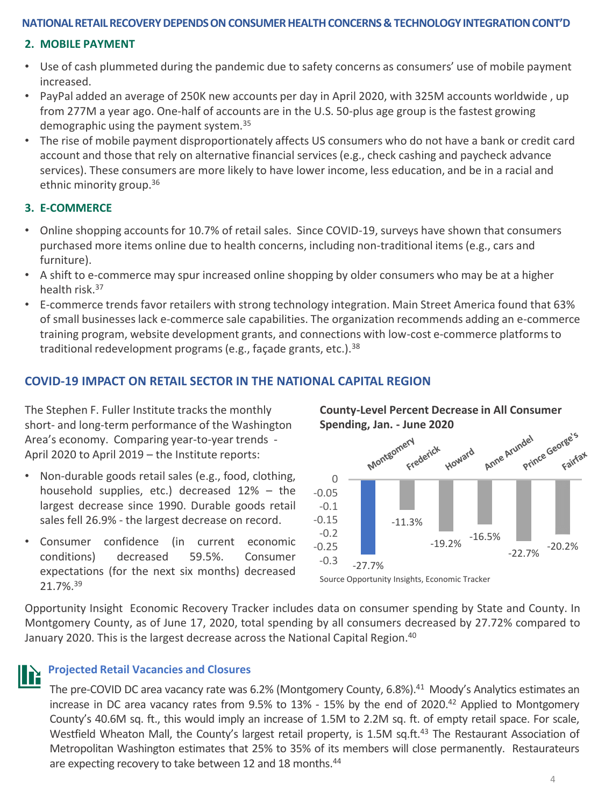## **NATIONAL RETAIL RECOVERY DEPENDS ON CONSUMER HEALTH CONCERNS & TECHNOLOGY INTEGRATION CONT'D**

### **2. MOBILE PAYMENT**

- Use of cash plummeted during the pandemic due to safety concerns as consumers' use of mobile payment increased.
- PayPal added an average of 250K new accounts per day in April 2020, with 325M accounts worldwide , up from 277M a year ago. One-half of accounts are in the U.S. 50-plus age group is the fastest growing demographic using the payment system.<sup>35</sup>
- The rise of mobile payment disproportionately affects US consumers who do not have a bank or credit card account and those that rely on alternative financial services (e.g., check cashing and paycheck advance services[\). These consumers are more likely to have lower income, less edu](about:blank)cation, and be in a racial and ethnic minority group.<sup>36</sup>

### **3. E-COMMERCE**

- Online shopping accounts for 10.7% of retail sales. Since COVID-19, surveys have shown that consumers purchased more items online due to health concerns, including non-traditional items (e.g., cars and furniture).
- A shift to e-commerce may spur increased online shopping by older consumers who may be at a higher health risk.<sup>37</sup>
- E-commerce trends favor retailers with strong technology integration. Main Street America found that 63% of small businesses lack e-commerce sale capabilities. The organization recommends adding an e-commerce training program, website development grants, and connections with low-cost e-commerce platforms to traditional redevelopment programs (e.g., façade grants, etc.). $38$

## **COVID-19 IMPACT ON RETAIL SECTOR IN THE NATIONAL CAPITAL REGION**

The Stephen F. Fuller Institute tracks the monthly short- and long-term performance of the Washington Area's economy. Comparing year-to-year trends - April 2020 to April 2019 – the Institute reports:

- Non-durable goods retail sales (e.g., food, clothing, household supplies, etc.) decreased 12% – the largest decrease since 1990. Durable goods retail sales fell 26.9% - the largest decrease on record.
- Consumer confidence (in current economic conditions) decreased 59.5%. Consumer expectations (for the next six months) decreased 21.7%. 39



Source Opportunity Insights, Economic Tracker

Opportunity Insight Economic Recovery Tracker includes data on consumer spending by State and County. In Montgomery County, as of June 17, 2020, total spending by all consumers decreased by 27.72% compared to January 2020. This is the largest decrease across the National Capital Region. 40

#### **Projected Retail Vacancies and Closures**

The pre-COVID DC area vacancy rate was 6.2% (Montgomery County, 6.8%).<sup>41</sup> Moody's Analytics estimates an increase in DC area vacancy rates from 9.5% to 13% - 15% by the end of 2020. <sup>42</sup> Applied to Montgomery County's 40.6M sq. ft., this would imply an increase of 1.5M to 2.2M sq. ft. of empty retail space. For scale, Westfield Wheaton Mall, the County's largest retail property, is 1.5M sq.ft.<sup>43</sup> The Restaurant Association of Metropolitan Washington estimates that 25% to 35% of its members will close permanently. Restaurateurs are expecting recovery to take between 12 and 18 months.<sup>44</sup>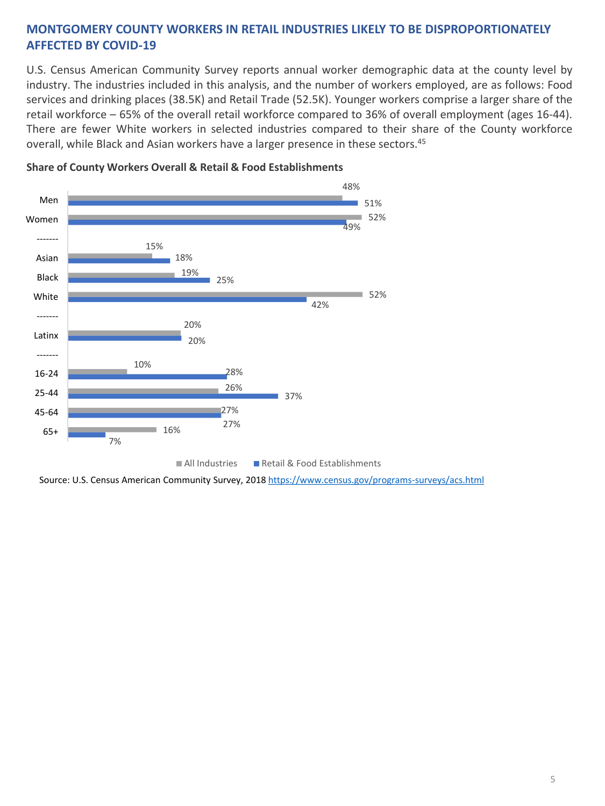# **MONTGOMERY COUNTY WORKERS IN RETAIL INDUSTRIES LIKELY TO BE DISPROPORTIONATELY AFFECTED BY COVID-19**

U.S. Census American Community Survey reports annual worker demographic data at the county level by industry. The industries included in this analysis, and the number of workers employed, are as follows: Food services and drinking places (38.5K) and Retail Trade (52.5K). Younger workers comprise a larger share of the retail workforce – 65% of the overall retail workforce compared to 36% of overall employment (ages 16-44). There are fewer White workers in selected industries compared to their share of the County workforce overall, while Black and Asian workers have a larger presence in these sectors.<sup>45</sup>



### **Share of County Workers Overall & Retail & Food Establishments**

Source: U.S. Census American Community Survey, 2018 [https://www.census.gov/programs-surveys/acs.html](about:blank)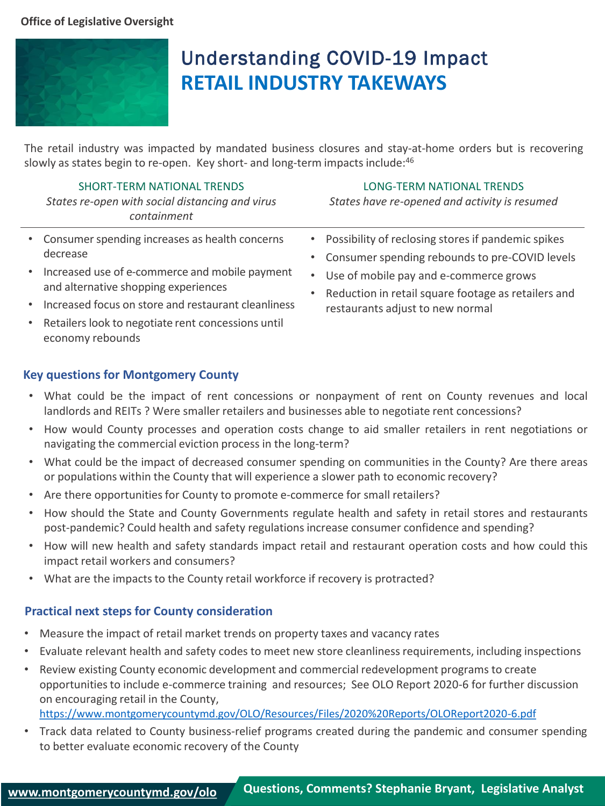## **Office of Legislative Oversight**



# Understanding COVID-19 Impact **RETAIL INDUSTRY TAKEWAYS**

The retail industry was impacted by mandated business closures and stay-at-home orders but is recovering slowly as states begin to re-open. Key short- and long-term impacts include:<sup>46</sup>

SHORT-TERM NATIONAL TRENDS *States re-open with social distancing and virus containment*

#### LONG-TERM NATIONAL TRENDS

*States have re-opened and activity is resumed*

- Consumer spending increases as health concerns decrease
- Increased use of e-commerce and mobile payment and alternative shopping experiences
- Increased focus on store and restaurant cleanliness
- Retailers look to negotiate rent concessions until economy rebounds

## **Key questions for Montgomery County**

- What could be the impact of rent concessions or nonpayment of rent on County revenues and local landlords and REITs ? Were smaller retailers and businesses able to negotiate rent concessions?
- How would County processes and operation costs change to aid smaller retailers in rent negotiations or navigating the commercial eviction process in the long-term?
- What could be the impact of decreased consumer spending on communities in the County? Are there areas or populations within the County that will experience a slower path to economic recovery?
- Are there opportunities for County to promote e-commerce for small retailers?
- How should the State and County Governments regulate health and safety in retail stores and restaurants post-pandemic? Could health and safety regulations increase consumer confidence and spending?
- How will new health and safety standards impact retail and restaurant operation costs and how could this impact retail workers and consumers?
- What are the impacts to the County retail workforce if recovery is protracted?

# **Practical next steps for County consideration**

- Measure the impact of retail market trends on property taxes and vacancy rates
- Evaluate relevant health and safety codes to meet new store cleanliness requirements, including inspections
- Review existing County economic development and commercial redevelopment programs to create opportunities to include e-commerce training and resources; See OLO Report 2020-6 for further discussion on encouraging retail in the County,
- [https://www.montgomerycountymd.gov/OLO/Resources/Files/2020%20Reports/OLOReport2020-6.pdf](about:blank)
- Track data related to County business-relief programs created during the pandemic and consumer spending to better evaluate economic recovery of the County

• Possibility of reclosing stores if pandemic spikes • Consumer spending rebounds to pre-COVID levels • Use of mobile pay and e-commerce grows

• Reduction in retail square footage as retailers and restaurants adjust to new normal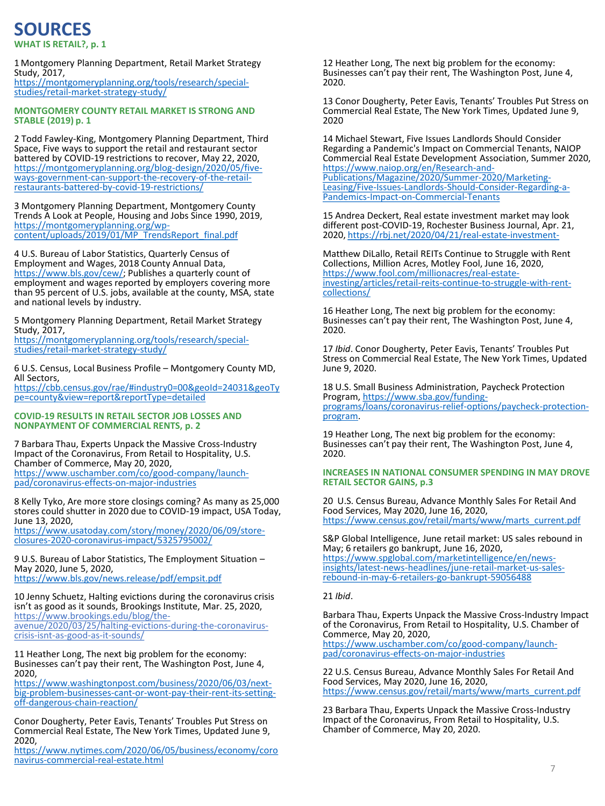# **WHAT IS RETAIL?, p. 1 SOURCES**

1 Montgomery Planning Department, Retail Market Strategy Study, 2017, [https://montgomeryplanning.org/tools/research/special](https://montgomeryplanning.org/tools/research/special-studies/retail-market-strategy-study/)studies/retail-market-strategy-study/

**MONTGOMERY COUNTY RETAIL MARKET IS STRONG AND STABLE (2019) p. 1** 

2 Todd Fawley-King, Montgomery Planning Department, Third Space, Five ways to support the retail and restaurant sector battered by COVID-19 restrictions to recover, May 22, 2020, https://montgomeryplanning.org/blog-design/2020/05/five[ways-government-can-support-the-recovery-of-the-retail](https://montgomeryplanning.org/blog-design/2020/05/five-ways-government-can-support-the-recovery-of-the-retail-restaurants-battered-by-covid-19-restrictions/)restaurants-battered-by-covid-19-restrictions/

3 Montgomery Planning Department, Montgomery County Trends A Look at People, Housing and Jobs Since 1990, 2019, https://montgomeryplanning.org/wp[content/uploads/2019/01/MP\\_TrendsReport\\_final.pdf](https://montgomeryplanning.org/wp-content/uploads/2019/01/MP_TrendsReport_final.pdf)

4 U.S. Bureau of Labor Statistics, Quarterly Census of Employment and Wages, 2018 County Annual Data, [https://www.bls.gov/cew/;](https://www.bls.gov/cew/) Publishes a quarterly count of employment and wages reported by employers covering more than 95 percent of U.S. jobs, available at the county, MSA, state and national levels by industry.

5 Montgomery Planning Department, Retail Market Strategy Study, 2017, [https://montgomeryplanning.org/tools/research/special](https://montgomeryplanning.org/tools/research/special-studies/retail-market-strategy-study/)studies/retail-market-strategy-study/

6 U.S. Census, Local Business Profile – Montgomery County MD, All Sectors,

[https://cbb.census.gov/rae/#industry0=00&geoId=24031&geoTy](https://cbb.census.gov/rae/#industry0=00&geoId=24031&geoType=county&view=report&reportType=detailed) pe=county&view=report&reportType=detailed

#### **COVID-19 RESULTS IN RETAIL SECTOR JOB LOSSES AND NONPAYMENT OF COMMERCIAL RENTS, p. 2**

7 Barbara Thau, Experts Unpack the Massive Cross-Industry Impact of the Coronavirus, From Retail to Hospitality, U.S. Chamber of Commerce, May 20, 2020, [https://www.uschamber.com/co/good-company/launch](https://www.uschamber.com/co/good-company/launch-pad/coronavirus-effects-on-major-industries)pad/coronavirus-effects-on-major-industries

8 Kelly Tyko, Are more store closings coming? As many as 25,000 stores could shutter in 2020 due to COVID-19 impact, USA Today, June 13, 2020,

[https://www.usatoday.com/story/money/2020/06/09/store](https://www.usatoday.com/story/money/2020/06/09/store-closures-2020-coronavirus-impact/5325795002/)closures-2020-coronavirus-impact/5325795002/

9 U.S. Bureau of Labor Statistics, The Employment Situation – May 2020, June 5, 2020, <https://www.bls.gov/news.release/pdf/empsit.pdf>

10 Jenny Schuetz, Halting evictions during the coronavirus crisis isn't as good as it sounds, Brookings Institute, Mar. 25, 2020, https://www.brookings.edu/blog/the-

[avenue/2020/03/25/halting-evictions-during-the-coronavirus](about:blank)crisis-isnt-as-good-as-it-sounds/

11 Heather Long, The next big problem for the economy: Businesses can't pay their rent, The Washington Post, June 4, 2020,

https://www.washingtonpost.com/business/2020/06/03/next[big-problem-businesses-cant-or-wont-pay-their-rent-its-setting](https://www.washingtonpost.com/business/2020/06/03/next-big-problem-businesses-cant-or-wont-pay-their-rent-its-setting-off-dangerous-chain-reaction/)off-dangerous-chain-reaction/

Conor Dougherty, Peter Eavis, Tenants' Troubles Put Stress on Commercial Real Estate, The New York Times, Updated June 9, 2020,

[https://www.nytimes.com/2020/06/05/business/economy/coro](https://www.nytimes.com/2020/06/05/business/economy/coronavirus-commercial-real-estate.html) navirus-commercial-real-estate.html

12 Heather Long, The next big problem for the economy: Businesses can't pay their rent, The Washington Post, June 4, 2020.

13 Conor Dougherty, Peter Eavis, Tenants' Troubles Put Stress on Commercial Real Estate, The New York Times, Updated June 9, 2020

14 Michael Stewart, Five Issues Landlords Should Consider Regarding a Pandemic's Impact on Commercial Tenants, NAIOP Commercial Real Estate Development Association, Summer 2020, https://www.naiop.org/en/Research-and-Publications/Magazine/2020/Summer-2020/Marketing-[Leasing/Five-Issues-Landlords-Should-Consider-Regarding-a-](https://www.naiop.org/en/Research-and-Publications/Magazine/2020/Summer-2020/Marketing-Leasing/Five-Issues-Landlords-Should-Consider-Regarding-a-Pandemics-Impact-on-Commercial-Tenants)Pandemics-Impact-on-Commercial-Tenants

15 Andrea Deckert, Real estate investment market may look different post-COVID-19, Rochester Business Journal, Apr. 21, 2020, [https://rbj.net/2020/04/21/real-estate-investment-](about:blank)

Matthew DiLallo, Retail REITs Continue to Struggle with Rent Collections, Million Acres, Motley Fool, June 16, 2020, https://www.fool.com/millionacres/real-estate[investing/articles/retail-reits-continue-to-struggle-with-rent](https://www.fool.com/millionacres/real-estate-investing/articles/retail-reits-continue-to-struggle-with-rent-collections/)collections/

16 Heather Long, The next big problem for the economy: Businesses can't pay their rent, The Washington Post, June 4, 2020.

17 *Ibid*. Conor Dougherty, Peter Eavis, Tenants' Troubles Put Stress on Commercial Real Estate, The New York Times, Updated June 9, 2020.

18 U.S. Small Business Administration, Paycheck Protection Program, https://www.sba.gov/funding[programs/loans/coronavirus-relief-options/paycheck-protection](https://www.sba.gov/funding-programs/loans/coronavirus-relief-options/paycheck-protection-program)program.

19 Heather Long, The next big problem for the economy: Businesses can't pay their rent, The Washington Post, June 4, 2020.

**INCREASES IN NATIONAL CONSUMER SPENDING IN MAY DROVE RETAIL SECTOR GAINS, p.3**

20 U.S. Census Bureau, Advance Monthly Sales For Retail And Food Services, May 2020, June 16, 2020, [https://www.census.gov/retail/marts/www/marts\\_current.pdf](https://www.census.gov/retail/marts/www/marts_current.pdf)

S&P Global Intelligence, June retail market: US sales rebound in May; 6 retailers go bankrupt, June 16, 2020, https://www.spglobal.com/marketintelligence/en/news[insights/latest-news-headlines/june-retail-market-us-sales](https://www.spglobal.com/marketintelligence/en/news-insights/latest-news-headlines/june-retail-market-us-sales-rebound-in-may-6-retailers-go-bankrupt-59056488)rebound-in-may-6-retailers-go-bankrupt-59056488

#### 21 *Ibid*.

Barbara Thau, Experts Unpack the Massive Cross-Industry Impact of the Coronavirus, From Retail to Hospitality, U.S. Chamber of Commerce, May 20, 2020, [https://www.uschamber.com/co/good-company/launch-](https://www.uschamber.com/co/good-company/launch-pad/coronavirus-effects-on-major-industries)

pad/coronavirus-effects-on-major-industries

22 U.S. Census Bureau, Advance Monthly Sales For Retail And Food Services, May 2020, June 16, 2020, [https://www.census.gov/retail/marts/www/marts\\_current.pdf](https://www.census.gov/retail/marts/www/marts_current.pdf)

23 Barbara Thau, Experts Unpack the Massive Cross-Industry Impact of the Coronavirus, From Retail to Hospitality, U.S. Chamber of Commerce, May 20, 2020.